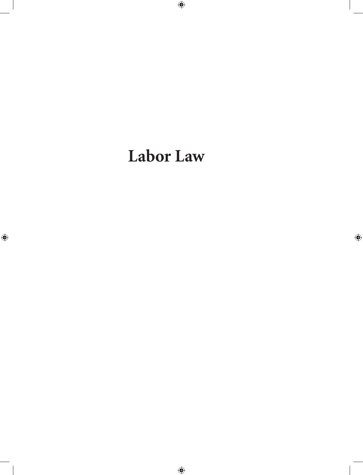# **Labor Law**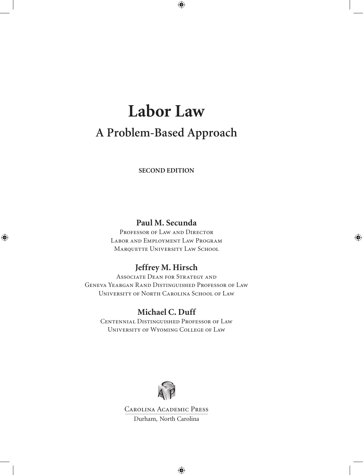# **Labor Law A Problem-Based Approach**

**SECOND EDITION**

### **Paul M. Secunda**

PROFESSOR OF LAW AND DIRECTOR Labor and Employment Law Program MARQUETTE UNIVERSITY LAW SCHOOL

### **Jeffrey M. Hirsch**

Associate Dean for Strategy and Geneva Yeargan Rand Distinguished Professor of Law University of North Carolina School of Law

### **Michael C. Duff**

Centennial Distinguished Professor of Law University of Wyoming College of Law



Carolina Academic Press Durham, North Carolina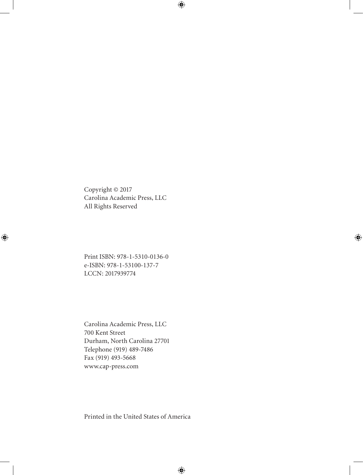Copyright © 2017 Carolina Academic Press, LLC All Rights Reserved

Print ISBN: 978-1-5310-0136-0 e-ISBN: 978-1-53100-137-7 LCCN: 2017939774

Carolina Academic Press, LLC 700 Kent Street Durham, North Carolina 27701 Telephone (919) 489-7486 Fax (919) 493-5668 www.cap-press.com

Printed in the United States of America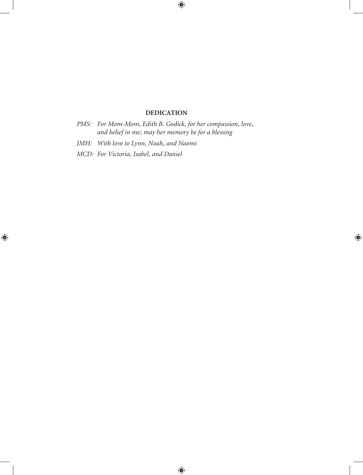#### **DEDICATION**

- *PMS: For Mom-Mom, Edith B. Godick, for her compassion, love, and belief in me; may her memory be for a blessing*
- *JMH: With love to Lynn, Noah, and Naomi*
- *MCD: For Victoria, Isabel, and Daniel*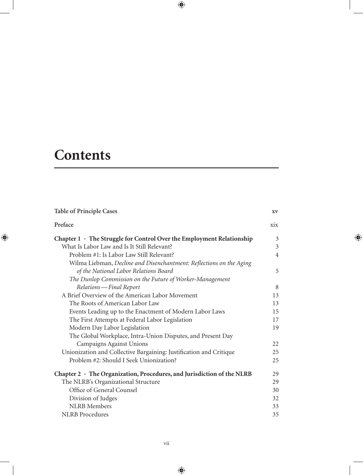# **Contents**

| <b>Table of Principle Cases</b>                                             | XV  |
|-----------------------------------------------------------------------------|-----|
| Preface                                                                     | xix |
| Chapter $1 \cdot$ The Struggle for Control Over the Employment Relationship | 3   |
| What Is Labor Law and Is It Still Relevant?                                 | 3   |
| Problem #1: Is Labor Law Still Relevant?                                    | 4   |
| Wilma Liebman, Decline and Disenchantment: Reflections on the Aging         |     |
| of the National Labor Relations Board                                       | 5   |
| The Dunlop Commission on the Future of Worker-Management                    |     |
| Relations-Final Report                                                      | 8   |
| A Brief Overview of the American Labor Movement                             | 13  |
| The Roots of American Labor Law                                             | 13  |
| Events Leading up to the Enactment of Modern Labor Laws                     | 15  |
| The First Attempts at Federal Labor Legislation                             | 17  |
| Modern Day Labor Legislation                                                | 19  |
| The Global Workplace, Intra-Union Disputes, and Present Day                 |     |
| Campaigns Against Unions                                                    | 22  |
| Unionization and Collective Bargaining: Justification and Critique          | 25  |
| Problem #2: Should I Seek Unionization?                                     | 25  |
| Chapter 2 · The Organization, Procedures, and Jurisdiction of the NLRB      | 29  |
| The NLRB's Organizational Structure                                         | 29  |
| Office of General Counsel                                                   | 30  |
| Division of Judges                                                          | 32  |
| <b>NLRB</b> Members                                                         | 33  |
| NLRB Procedures                                                             | 35  |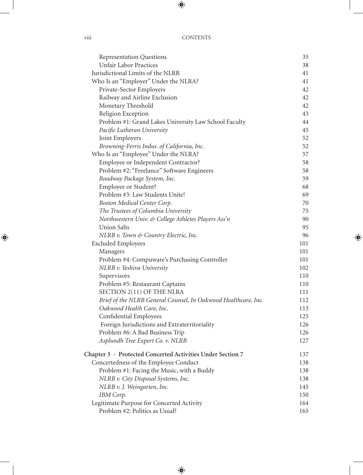| <b>Representation Questions</b>                                | 35  |
|----------------------------------------------------------------|-----|
| <b>Unfair Labor Practices</b>                                  | 38  |
| Jurisdictional Limits of the NLRB                              | 41  |
| Who Is an "Employer" Under the NLRA?                           | 41  |
| Private-Sector Employers                                       | 42  |
| Railway and Airline Exclusion                                  | 42  |
| Monetary Threshold                                             | 42  |
| Religion Exception                                             | 43  |
| Problem #1: Grand Lakes University Law School Faculty          | 44  |
| Pacific Lutheran University                                    | 45  |
| Joint Employers                                                | 52  |
| Browning-Ferris Indus. of California, Inc.                     | 52  |
| Who Is an "Employee" Under the NLRA?                           | 57  |
| Employee or Independent Contractor?                            | 58  |
| Problem #2: "Freelance" Software Engineers                     | 58  |
| Roadway Package System, Inc.                                   | 59  |
| Employee or Student?                                           | 68  |
| Problem #3: Law Students Unite!                                | 69  |
| Boston Medical Center Corp.                                    | 70  |
| The Trustees of Columbia University                            | 75  |
| Northwestern Univ. & College Athletes Players Ass'n            | 90  |
| <b>Union Salts</b>                                             | 95  |
| NLRB v. Town & Country Electric, Inc.                          | 96  |
| <b>Excluded Employees</b>                                      | 101 |
| Managers                                                       | 101 |
| Problem #4: Compuware's Purchasing Controller                  | 101 |
| NLRB v. Yeshiva University                                     | 102 |
| Supervisors                                                    | 110 |
| Problem #5: Restaurant Captains                                | 110 |
| SECTION 2(11) OF THE NLRA                                      | 111 |
| Brief of the NLRB General Counsel, In Oakwood Healthcare, Inc. | 112 |
| Oakwood Health Care, Inc.                                      | 113 |
| Confidential Employees                                         | 125 |
| Foreign Jurisdictions and Extraterritoriality                  | 126 |
| Problem #6: A Bad Business Trip                                | 126 |
| Asplundh Tree Expert Co. v. NLRB                               | 127 |
| Chapter 3 · Protected Concerted Activities Under Section 7     | 137 |
| Concertedness of the Employee Conduct                          | 138 |
| Problem #1: Facing the Music, with a Buddy                     | 138 |
| NLRB v. City Disposal Systems, Inc.                            | 138 |
| NLRB v. J. Weingarten, Inc.                                    | 145 |
| IBM Corp.                                                      | 150 |
| Legitimate Purpose for Concerted Activity                      | 164 |
| Problem #2: Politics as Usual?                                 | 165 |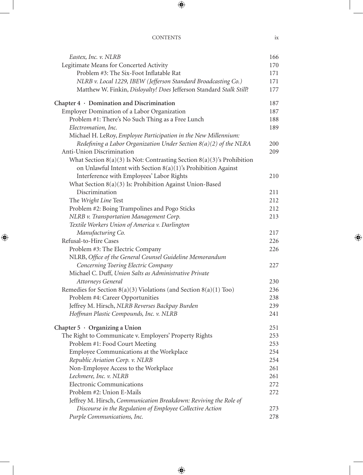#### Contents ix

| Eastex, Inc. v. NLRB                                                   | 166 |
|------------------------------------------------------------------------|-----|
| Legitimate Means for Concerted Activity                                | 170 |
| Problem #3: The Six-Foot Inflatable Rat                                | 171 |
| NLRB v. Local 1229, IBEW (Jefferson Standard Broadcasting Co.)         | 171 |
| Matthew W. Finkin, Disloyalty! Does Jefferson Standard Stalk Still?    | 177 |
| Chapter $4 \cdot$ Domination and Discrimination                        | 187 |
| Employer Domination of a Labor Organization                            | 187 |
| Problem #1: There's No Such Thing as a Free Lunch                      | 188 |
| Electromation, Inc.                                                    | 189 |
| Michael H. LeRoy, Employee Participation in the New Millennium:        |     |
| Redefining a Labor Organization Under Section $8(a)(2)$ of the NLRA    | 200 |
| Anti-Union Discrimination                                              | 209 |
| What Section 8(a)(3) Is Not: Contrasting Section 8(a)(3)'s Prohibition |     |
| on Unlawful Intent with Section $8(a)(1)$ 's Prohibition Against       |     |
| Interference with Employees' Labor Rights                              | 210 |
| What Section 8(a)(3) Is: Prohibition Against Union-Based               |     |
| Discrimination                                                         | 211 |
| The Wright Line Test                                                   | 212 |
| Problem #2: Boing Trampolines and Pogo Sticks                          | 212 |
| NLRB v. Transportation Management Corp.                                | 213 |
| Textile Workers Union of America v. Darlington                         |     |
| Manufacturing Co.                                                      | 217 |
| Refusal-to-Hire Cases                                                  | 226 |
| Problem #3: The Electric Company                                       | 226 |
| NLRB, Office of the General Counsel Guideline Memorandum               |     |
| Concerning Toering Electric Company                                    | 227 |
| Michael C. Duff, Union Salts as Administrative Private                 |     |
| Attorneys General                                                      | 230 |
| Remedies for Section $8(a)(3)$ Violations (and Section $8(a)(1)$ Too)  | 236 |
| Problem #4: Career Opportunities                                       | 238 |
| Jeffrey M. Hirsch, NLRB Reverses Backpay Burden                        | 239 |
| Hoffman Plastic Compounds, Inc. v. NLRB                                | 241 |
| Chapter $5 \cdot$ Organizing a Union                                   | 251 |
| The Right to Communicate v. Employers' Property Rights                 | 253 |
| Problem #1: Food Court Meeting                                         | 253 |
| Employee Communications at the Workplace                               | 254 |
| Republic Aviation Corp. v. NLRB                                        | 254 |
| Non-Employee Access to the Workplace                                   | 261 |
| Lechmere, Inc. v. NLRB                                                 | 261 |
| <b>Electronic Communications</b>                                       | 272 |
| Problem #2: Union E-Mails                                              | 272 |
| Jeffrey M. Hirsch, Communication Breakdown: Reviving the Role of       |     |
| Discourse in the Regulation of Employee Collective Action              | 273 |
| Purple Communications, Inc.                                            | 278 |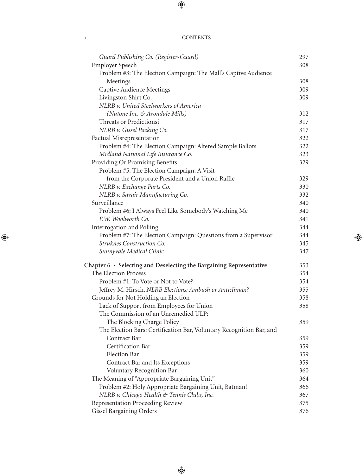| <b>CONTENTS</b> |
|-----------------|
|                 |

| Guard Publishing Co. (Register-Guard)                                       | 297        |
|-----------------------------------------------------------------------------|------------|
| <b>Employer Speech</b>                                                      | 308        |
| Problem #3: The Election Campaign: The Mall's Captive Audience              |            |
| Meetings                                                                    | 308        |
| <b>Captive Audience Meetings</b>                                            | 309        |
| Livingston Shirt Co.                                                        | 309        |
| NLRB v. United Steelworkers of America                                      |            |
| (Nutone Inc. & Avondale Mills)                                              | 312        |
| Threats or Predictions?                                                     | 317        |
| NLRB v. Gissel Packing Co.                                                  | 317        |
| Factual Misrepresentation                                                   | 322        |
| Problem #4: The Election Campaign: Altered Sample Ballots                   | 322        |
| Midland National Life Insurance Co.                                         | 323        |
| Providing Or Promising Benefits                                             | 329        |
| Problem #5: The Election Campaign: A Visit                                  |            |
|                                                                             | 329        |
| from the Corporate President and a Union Raffle                             |            |
| NLRB v. Exchange Parts Co.                                                  | 330        |
| NLRB v. Savair Manufacturing Co.<br>Surveillance                            | 332        |
|                                                                             | 340        |
| Problem #6: I Always Feel Like Somebody's Watching Me<br>F.W. Woolworth Co. | 340<br>341 |
|                                                                             |            |
| Interrogation and Polling                                                   | 344        |
| Problem #7: The Election Campaign: Questions from a Supervisor              | 344        |
| Struknes Construction Co.                                                   | 345        |
| Sunnyvale Medical Clinic                                                    | 347        |
| Chapter $6 \cdot$ Selecting and Deselecting the Bargaining Representative   | 353        |
| The Election Process                                                        | 354        |
| Problem #1: To Vote or Not to Vote?                                         | 354        |
| Jeffrey M. Hirsch, NLRB Elections: Ambush or Anticlimax?                    | 355        |
| Grounds for Not Holding an Election                                         | 358        |
| Lack of Support from Employees for Union                                    | 358        |
| The Commission of an Unremedied ULP:                                        |            |
| The Blocking Charge Policy                                                  | 359        |
| The Election Bars: Certification Bar, Voluntary Recognition Bar, and        |            |
| Contract Bar                                                                | 359        |
| Certification Bar                                                           | 359        |
| <b>Election Bar</b>                                                         | 359        |
| Contract Bar and Its Exceptions                                             | 359        |
| Voluntary Recognition Bar                                                   | 360        |
| The Meaning of "Appropriate Bargaining Unit"                                | 364        |
| Problem #2: Holy Appropriate Bargaining Unit, Batman!                       | 366        |
| NLRB v. Chicago Health & Tennis Clubs, Inc.                                 | 367        |
| Representation Proceeding Review                                            | 375        |
| <b>Gissel Bargaining Orders</b>                                             | 376        |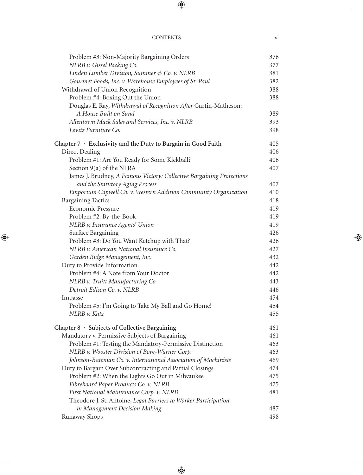| Problem #3: Non-Majority Bargaining Orders                            | 376 |
|-----------------------------------------------------------------------|-----|
| NLRB v. Gissel Packing Co.                                            | 377 |
| Linden Lumber Division, Summer & Co. v. NLRB                          | 381 |
| Gourmet Foods, Inc. v. Warehouse Employees of St. Paul                | 382 |
| Withdrawal of Union Recognition                                       | 388 |
| Problem #4: Boxing Out the Union                                      | 388 |
| Douglas E. Ray, Withdrawal of Recognition After Curtin-Matheson:      |     |
| A House Built on Sand                                                 | 389 |
| Allentown Mack Sales and Services, Inc. v. NLRB                       | 393 |
| Levitz Furniture Co.                                                  | 398 |
| Chapter $7 \cdot$ Exclusivity and the Duty to Bargain in Good Faith   | 405 |
| Direct Dealing                                                        | 406 |
| Problem #1: Are You Ready for Some Kickball?                          | 406 |
| Section 9(a) of the NLRA                                              | 407 |
| James J. Brudney, A Famous Victory: Collective Bargaining Protections |     |
| and the Statutory Aging Process                                       | 407 |
| Emporium Capwell Co. v. Western Addition Community Organization       | 410 |
| <b>Bargaining Tactics</b>                                             | 418 |
| Economic Pressure                                                     | 419 |
| Problem #2: By-the-Book                                               | 419 |
| NLRB v. Insurance Agents' Union                                       | 419 |
| Surface Bargaining                                                    | 426 |
| Problem #3: Do You Want Ketchup with That?                            | 426 |
| NLRB v. American National Insurance Co.                               | 427 |
| Garden Ridge Management, Inc.                                         | 432 |
| Duty to Provide Information                                           | 442 |
| Problem #4: A Note from Your Doctor                                   | 442 |
| NLRB v. Truitt Manufacturing Co.                                      | 443 |
| Detroit Edison Co. v. NLRB                                            | 446 |
| Impasse                                                               | 454 |
| Problem #5: I'm Going to Take My Ball and Go Home!                    | 454 |
| $NIRB$ v. Katz                                                        | 455 |
| Chapter 8 · Subjects of Collective Bargaining                         | 461 |
| Mandatory v. Permissive Subjects of Bargaining                        | 461 |
| Problem #1: Testing the Mandatory-Permissive Distinction              | 463 |
| NLRB v. Wooster Division of Borg-Warner Corp.                         | 463 |
| Johnson-Bateman Co. v. International Association of Machinists        | 469 |
| Duty to Bargain Over Subcontracting and Partial Closings              | 474 |
| Problem #2: When the Lights Go Out in Milwaukee                       | 475 |
| Fibreboard Paper Products Co. v. NLRB                                 | 475 |
| First National Maintenance Corp. v. NLRB                              | 481 |
| Theodore J. St. Antoine, Legal Barriers to Worker Participation       |     |
| in Management Decision Making                                         | 487 |
| Runaway Shops                                                         | 498 |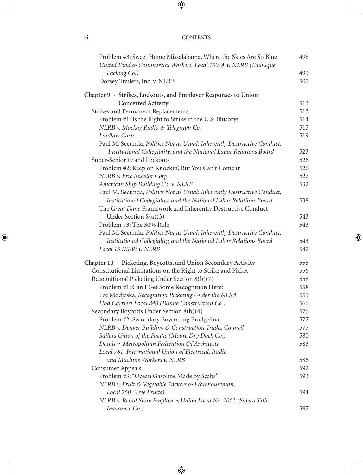| Problem #3: Sweet Home Missalabama, Where the Skies Are So Blue<br>United Food & Commercial Workers, Local 150-A v. NLRB (Dubuque | 498 |
|-----------------------------------------------------------------------------------------------------------------------------------|-----|
| Packing Co.)                                                                                                                      | 499 |
| Dorsey Trailers, Inc. v. NLRB                                                                                                     | 505 |
| Chapter 9 · Strikes, Lockouts, and Employer Responses to Union                                                                    |     |
| <b>Concerted Activity</b>                                                                                                         | 513 |
| Strikes and Permanent Replacements                                                                                                | 513 |
| Problem #1: Is the Right to Strike in the U.S. Illusory?                                                                          | 514 |
| NLRB v. Mackay Radio & Telegraph Co.                                                                                              | 515 |
| Laidlaw Corp.                                                                                                                     | 519 |
| Paul M. Secunda, Politics Not as Usual: Inherently Destructive Conduct,                                                           |     |
| Institutional Collegiality, and the National Labor Relations Board                                                                | 523 |
| Super-Seniority and Lockouts                                                                                                      | 526 |
| Problem #2: Keep on Knockin', But You Can't Come in                                                                               | 526 |
| NLRB v. Erie Resistor Corp.                                                                                                       | 527 |
| American Ship Building Co. v. NLRB                                                                                                | 532 |
| Paul M. Secunda, Politics Not as Usual: Inherently Destructive Conduct,                                                           |     |
| Institutional Collegiality, and the National Labor Relations Board                                                                | 538 |
| The Great Dane Framework and Inherently Destructive Conduct                                                                       |     |
| Under Section $8(a)(3)$                                                                                                           | 543 |
| Problem #3: The 30% Rule                                                                                                          | 543 |
| Paul M. Secunda, Politics Not as Usual: Inherently Destructive Conduct,                                                           |     |
| Institutional Collegiality, and the National Labor Relations Board                                                                | 543 |
| Local 15 IBEW v. NLRB                                                                                                             | 547 |
| Chapter 10 · Picketing, Boycotts, and Union Secondary Activity                                                                    | 555 |
| Constitutional Limitations on the Right to Strike and Picket                                                                      | 556 |
| Recognitional Picketing Under Section 8(b)(7)                                                                                     | 558 |
| Problem #1: Can I Get Some Recognition Here?                                                                                      | 558 |
| Lee Modjeska, Recognition Picketing Under the NLRA                                                                                | 559 |
| Hod Carriers Local 840 (Blinne Construction Co.)                                                                                  | 566 |
| Secondary Boycotts Under Section 8(b)(4)                                                                                          | 576 |
| Problem #2: Secondary Boycotting Bradgelina                                                                                       | 577 |
| NLRB v. Denver Building & Construction Trades Council                                                                             | 577 |
| Sailors Union of the Pacific (Moore Dry Dock Co.)                                                                                 | 580 |
| Douds v. Metropolitan Federation Of Architects                                                                                    | 583 |
| Local 761, International Union of Electrical, Radio                                                                               |     |
| and Machine Workers v. NLRB                                                                                                       | 586 |
| Consumer Appeals                                                                                                                  | 592 |
| Problem #3: "Ocean Gasoline Made by Scabs"                                                                                        | 593 |
| NLRB v. Fruit & Vegetable Packers & Warehouseman,                                                                                 |     |
| Local 760 (Tree Fruits)                                                                                                           | 594 |
| NLRB v. Retail Store Employees Union Local No. 1001 (Safeco Title                                                                 |     |
| Insurance Co.)                                                                                                                    | 597 |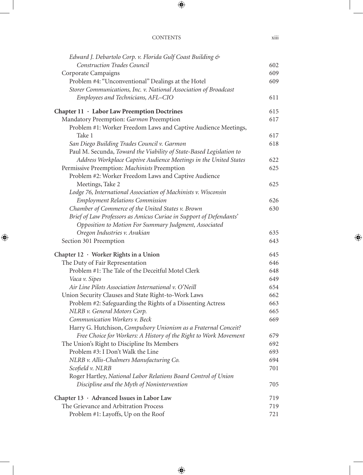| Edward J. Debartolo Corp. v. Florida Gulf Coast Building &          |     |
|---------------------------------------------------------------------|-----|
| Construction Trades Council                                         | 602 |
| Corporate Campaigns                                                 | 609 |
| Problem #4: "Unconventional" Dealings at the Hotel                  | 609 |
| Storer Communications, Inc. v. National Association of Broadcast    |     |
| Employees and Technicians, AFL-CIO                                  | 611 |
| Chapter 11 · Labor Law Preemption Doctrines                         | 615 |
| Mandatory Preemption: Garmon Preemption                             | 617 |
| Problem #1: Worker Freedom Laws and Captive Audience Meetings,      |     |
| Take 1                                                              | 617 |
| San Diego Building Trades Council v. Garmon                         | 618 |
| Paul M. Secunda, Toward the Viability of State-Based Legislation to |     |
| Address Workplace Captive Audience Meetings in the United States    | 622 |
| Permissive Preemption: Machinists Preemption                        | 625 |
| Problem #2: Worker Freedom Laws and Captive Audience                |     |
| Meetings, Take 2                                                    | 625 |
| Lodge 76, International Association of Machinists v. Wisconsin      |     |
| <b>Employment Relations Commission</b>                              | 626 |
| Chamber of Commerce of the United States v. Brown                   | 630 |
| Brief of Law Professors as Amicus Curiae in Support of Defendants'  |     |
| Opposition to Motion For Summary Judgment, Associated               |     |
| Oregon Industries v. Avakian                                        | 635 |
| Section 301 Preemption                                              | 643 |
| Chapter 12 · Worker Rights in a Union                               | 645 |
| The Duty of Fair Representation                                     | 646 |
| Problem #1: The Tale of the Deceitful Motel Clerk                   | 648 |
| Vaca v. Sipes                                                       | 649 |
| Air Line Pilots Association International v. O'Neill                | 654 |
| Union Security Clauses and State Right-to-Work Laws                 | 662 |
| Problem #2: Safeguarding the Rights of a Dissenting Actress         | 663 |
| NLRB v. General Motors Corp.                                        | 665 |
| Communication Workers v. Beck                                       | 669 |
| Harry G. Hutchison, Compulsory Unionism as a Fraternal Conceit?     |     |
| Free Choice for Workers: A History of the Right to Work Movement    | 679 |
| The Union's Right to Discipline Its Members                         | 692 |
| Problem #3: I Don't Walk the Line                                   | 693 |
| NLRB v. Allis-Chalmers Manufacturing Co.                            | 694 |
| Scofield v. NLRB                                                    | 701 |
| Roger Hartley, National Labor Relations Board Control of Union      |     |
| Discipline and the Myth of Nonintervention                          | 705 |
| Chapter 13 · Advanced Issues in Labor Law                           | 719 |
| The Grievance and Arbitration Process                               | 719 |
| Problem #1: Layoffs, Up on the Roof                                 | 721 |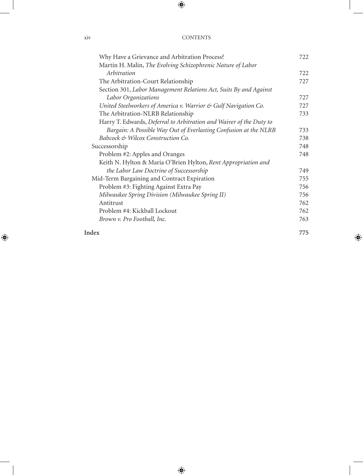| Why Have a Grievance and Arbitration Process?                       | 722 |
|---------------------------------------------------------------------|-----|
| Martin H. Malin, The Evolving Schizophrenic Nature of Labor         |     |
| Arbitration                                                         | 722 |
| The Arbitration-Court Relationship                                  | 727 |
| Section 301, Labor Management Relations Act, Suits By and Against   |     |
| Labor Organizations                                                 | 727 |
| United Steelworkers of America v. Warrior & Gulf Navigation Co.     | 727 |
| The Arbitration-NLRB Relationship                                   | 733 |
| Harry T. Edwards, Deferral to Arbitration and Waiver of the Duty to |     |
| Bargain: A Possible Way Out of Everlasting Confusion at the NLRB    | 733 |
| Babcock & Wilcox Construction Co.                                   | 738 |
| Successorship                                                       | 748 |
| Problem #2: Apples and Oranges                                      | 748 |
| Keith N. Hylton & Maria O'Brien Hylton, Rent Appropriation and      |     |
| the Labor Law Doctrine of Successorship                             | 749 |
| Mid-Term Bargaining and Contract Expiration                         | 755 |
| Problem #3: Fighting Against Extra Pay                              | 756 |
| Milwaukee Spring Division (Milwaukee Spring II)                     | 756 |
| Antitrust                                                           | 762 |
| Problem #4: Kickball Lockout                                        | 762 |
| Brown v. Pro Football, Inc.                                         | 763 |
| Index                                                               | 775 |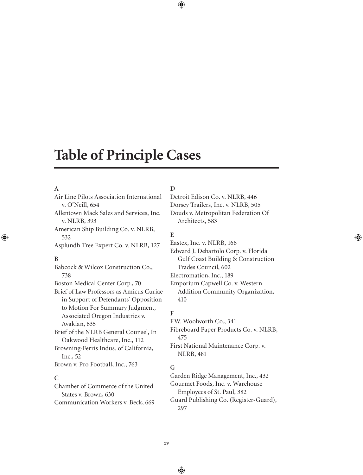## **Table of Principle Cases**

#### **A**

Air Line Pilots Association International v. O'Neill, 654 Allentown Mack Sales and Services, Inc. v. NLRB, 393 American Ship Building Co. v. NLRB, 532 Asplundh Tree Expert Co. v. NLRB, 127 **B** Babcock & Wilcox Construction Co., 738 Boston Medical Center Corp., 70 Brief of Law Professors as Amicus Curiae in Support of Defendants' Opposition to Motion For Summary Judgment, Associated Oregon Industries v. Avakian, 635 Brief of the NLRB General Counsel, In Oakwood Healthcare, Inc., 112 Browning-Ferris Indus. of California, Inc., 52 Brown v. Pro Football, Inc., 763

#### **C**

Chamber of Commerce of the United States v. Brown, 630 Communication Workers v. Beck, 669

#### **D**

Detroit Edison Co. v. NLRB, 446 Dorsey Trailers, Inc. v. NLRB, 505 Douds v. Metropolitan Federation Of Architects, 583

#### **E**

Eastex, Inc. v. NLRB, 166 Edward J. Debartolo Corp. v. Florida

Gulf Coast Building & Construction Trades Council, 602

Electromation, Inc., 189

Emporium Capwell Co. v. Western Addition Community Organization, 410

### **F**

F.W. Woolworth Co., 341 Fibreboard Paper Products Co. v. NLRB, 475 First National Maintenance Corp. v. NLRB, 481

### **G**

Garden Ridge Management, Inc., 432 Gourmet Foods, Inc. v. Warehouse Employees of St. Paul, 382 Guard Publishing Co. (Register-Guard), 297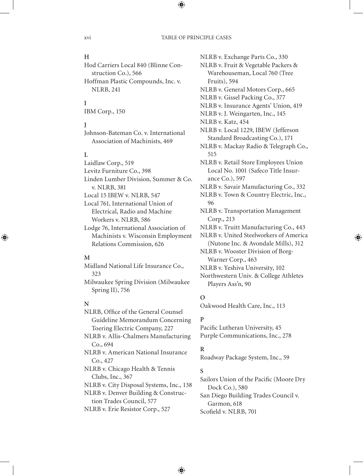#### **H**

Hod Carriers Local 840 (Blinne Construction Co.), 566 Hoffman Plastic Compounds, Inc. v. NLRB, 241

#### **I**

IBM Corp., 150

#### **J**

Johnson-Bateman Co. v. International Association of Machinists, 469

#### **L**

Laidlaw Corp., 519 Levitz Furniture Co., 398 Linden Lumber Division, Summer & Co. v. NLRB, 381 Local 15 IBEW v. NLRB, 547 Local 761, International Union of Electrical, Radio and Machine Workers v. NLRB, 586 Lodge 76, International Association of

Machinists v. Wisconsin Employment Relations Commission, 626

#### **M**

Midland National Life Insurance Co., 323 Milwaukee Spring Division (Milwaukee

Spring II), 756

#### **N**

NLRB, Office of the General Counsel Guideline Memorandum Concerning Toering Electric Company, 227 NLRB v. Allis-Chalmers Manufacturing Co., 694 NLRB v. American National Insurance Co., 427 NLRB v. Chicago Health & Tennis Clubs, Inc., 367 NLRB v. City Disposal Systems, Inc., 138 NLRB v. Denver Building & Construction Trades Council, 577 NLRB v. Erie Resistor Corp., 527

NLRB v. Exchange Parts Co., 330 NLRB v. Fruit & Vegetable Packers & Warehouseman, Local 760 (Tree Fruits), 594 NLRB v. General Motors Corp., 665 NLRB v. Gissel Packing Co., 377 NLRB v. Insurance Agents' Union, 419 NLRB v. J. Weingarten, Inc., 145 NLRB v. Katz, 454 NLRB v. Local 1229, IBEW (Jefferson Standard Broadcasting Co.), 171 NLRB v. Mackay Radio & Telegraph Co., 515 NLRB v. Retail Store Employees Union Local No. 1001 (Safeco Title Insurance Co.), 597 NLRB v. Savair Manufacturing Co., 332 NLRB v. Town & Country Electric, Inc., 96 NLRB v. Transportation Management Corp., 213 NLRB v. Truitt Manufacturing Co., 443 NLRB v. United Steelworkers of America (Nutone Inc. & Avondale Mills), 312 NLRB v. Wooster Division of Borg-Warner Corp., 463 NLRB v. Yeshiva University, 102 Northwestern Univ. & College Athletes Players Ass'n, 90

#### **O**

Oakwood Health Care, Inc., 113

#### **P**

Pacific Lutheran University, 45 Purple Communications, Inc., 278

#### **R**

Roadway Package System, Inc., 59

#### **S**

Sailors Union of the Pacific (Moore Dry Dock Co.), 580 San Diego Building Trades Council v. Garmon, 618 Scofield v. NLRB, 701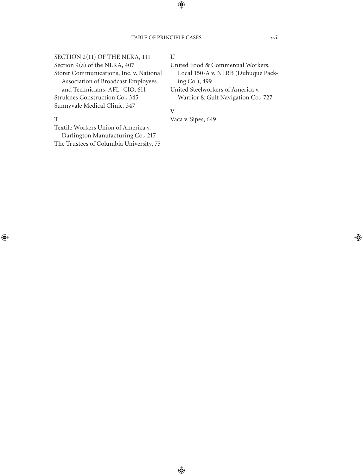#### SECTION 2(11) OF THE NLRA, 111 Section 9(a) of the NLRA, 407 Storer Communications, Inc. v. National Association of Broadcast Employees and Technicians, AFL–CIO, 611 Struknes Construction Co., 345

Sunnyvale Medical Clinic, 347

#### **T**

Textile Workers Union of America v. Darlington Manufacturing Co., 217 The Trustees of Columbia University, 75

#### **U**

United Food & Commercial Workers, Local 150-A v. NLRB (Dubuque Packing Co.), 499 United Steelworkers of America v.

Warrior & Gulf Navigation Co., 727

#### **V**

Vaca v. Sipes, 649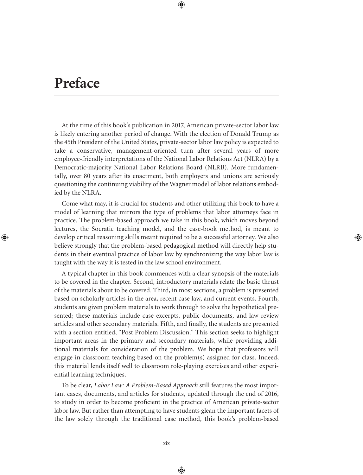## **Preface**

At the time of this book's publication in 2017, American private-sector labor law is likely entering another period of change. With the election of Donald Trump as the 45th President of the United States, private-sector labor law policy is expected to take a conservative, management-oriented turn after several years of more employee-friendly interpretations of the National Labor Relations Act (NLRA) by a Democratic-majority National Labor Relations Board (NLRB). More fundamentally, over 80 years after its enactment, both employers and unions are seriously questioning the continuing viability of the Wagner model of labor relations embodied by the NLRA.

Come what may, it is crucial for students and other utilizing this book to have a model of learning that mirrors the type of problems that labor attorneys face in practice. The problem-based approach we take in this book, which moves beyond lectures, the Socratic teaching model, and the case-book method, is meant to develop critical reasoning skills meant required to be a successful attorney. We also believe strongly that the problem-based pedagogical method will directly help students in their eventual practice of labor law by synchronizing the way labor law is taught with the way it is tested in the law school environment.

A typical chapter in this book commences with a clear synopsis of the materials to be covered in the chapter. Second, introductory materials relate the basic thrust of the materials about to be covered. Third, in most sections, a problem is presented based on scholarly articles in the area, recent case law, and current events. Fourth, students are given problem materials to work through to solve the hypothetical presented; these materials include case excerpts, public documents, and law review articles and other secondary materials. Fifth, and finally, the students are presented with a section entitled, "Post Problem Discussion." This section seeks to highlight important areas in the primary and secondary materials, while providing additional materials for consideration of the problem. We hope that professors will engage in classroom teaching based on the problem(s) assigned for class. Indeed, this material lends itself well to classroom role-playing exercises and other experiential learning techniques.

To be clear, *Labor Law: A Problem-Based Approach* still features the most important cases, documents, and articles for students, updated through the end of 2016, to study in order to become proficient in the practice of American private-sector labor law. But rather than attempting to have students glean the important facets of the law solely through the traditional case method, this book's problem-based